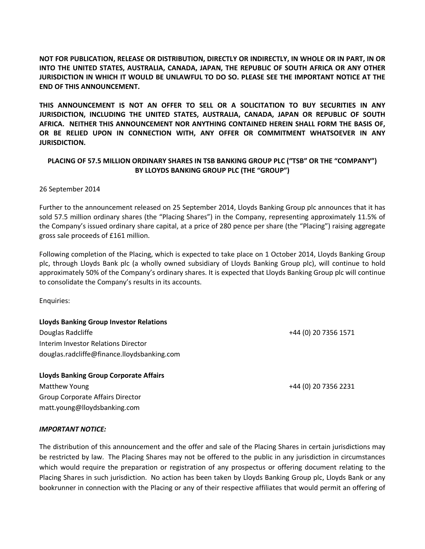**NOT FOR PUBLICATION, RELEASE OR DISTRIBUTION, DIRECTLY OR INDIRECTLY, IN WHOLE OR IN PART, IN OR INTO THE UNITED STATES, AUSTRALIA, CANADA, JAPAN, THE REPUBLIC OF SOUTH AFRICA OR ANY OTHER JURISDICTION IN WHICH IT WOULD BE UNLAWFUL TO DO SO. PLEASE SEE THE IMPORTANT NOTICE AT THE END OF THIS ANNOUNCEMENT.**

**THIS ANNOUNCEMENT IS NOT AN OFFER TO SELL OR A SOLICITATION TO BUY SECURITIES IN ANY JURISDICTION, INCLUDING THE UNITED STATES, AUSTRALIA, CANADA, JAPAN OR REPUBLIC OF SOUTH AFRICA. NEITHER THIS ANNOUNCEMENT NOR ANYTHING CONTAINED HEREIN SHALL FORM THE BASIS OF, OR BE RELIED UPON IN CONNECTION WITH, ANY OFFER OR COMMITMENT WHATSOEVER IN ANY JURISDICTION.**

## **PLACING OF 57.5 MILLION ORDINARY SHARES IN TSB BANKING GROUP PLC ("TSB" OR THE "COMPANY") BY LLOYDS BANKING GROUP PLC (THE "GROUP")**

### 26 September 2014

Further to the announcement released on 25 September 2014, Lloyds Banking Group plc announces that it has sold 57.5 million ordinary shares (the "Placing Shares") in the Company, representing approximately 11.5% of the Company's issued ordinary share capital, at a price of 280 pence per share (the "Placing") raising aggregate gross sale proceeds of £161 million.

Following completion of the Placing, which is expected to take place on 1 October 2014, Lloyds Banking Group plc, through Lloyds Bank plc (a wholly owned subsidiary of Lloyds Banking Group plc), will continue to hold approximately 50% of the Company's ordinary shares. It is expected that Lloyds Banking Group plc will continue to consolidate the Company's results in its accounts.

Enquiries:

# **Lloyds Banking Group Investor Relations** Douglas Radcliffe +44 (0) 20 7356 1571

Interim Investor Relations Director douglas.radcliffe@finance.lloydsbanking.com

**Lloyds Banking Group Corporate Affairs** Matthew Young +44 (0) 20 7356 2231 Group Corporate Affairs Director matt.young@lloydsbanking.com

### *IMPORTANT NOTICE:*

The distribution of this announcement and the offer and sale of the Placing Shares in certain jurisdictions may be restricted by law. The Placing Shares may not be offered to the public in any jurisdiction in circumstances which would require the preparation or registration of any prospectus or offering document relating to the Placing Shares in such jurisdiction. No action has been taken by Lloyds Banking Group plc, Lloyds Bank or any bookrunner in connection with the Placing or any of their respective affiliates that would permit an offering of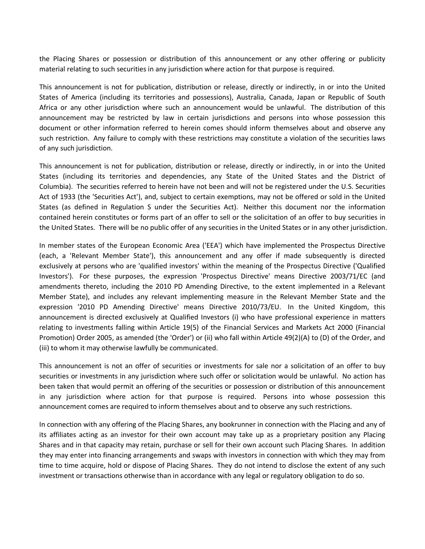the Placing Shares or possession or distribution of this announcement or any other offering or publicity material relating to such securities in any jurisdiction where action for that purpose is required.

This announcement is not for publication, distribution or release, directly or indirectly, in or into the United States of America (including its territories and possessions), Australia, Canada, Japan or Republic of South Africa or any other jurisdiction where such an announcement would be unlawful. The distribution of this announcement may be restricted by law in certain jurisdictions and persons into whose possession this document or other information referred to herein comes should inform themselves about and observe any such restriction. Any failure to comply with these restrictions may constitute a violation of the securities laws of any such jurisdiction.

This announcement is not for publication, distribution or release, directly or indirectly, in or into the United States (including its territories and dependencies, any State of the United States and the District of Columbia). The securities referred to herein have not been and will not be registered under the U.S. Securities Act of 1933 (the 'Securities Act'), and, subject to certain exemptions, may not be offered or sold in the United States (as defined in Regulation S under the Securities Act). Neither this document nor the information contained herein constitutes or forms part of an offer to sell or the solicitation of an offer to buy securities in the United States. There will be no public offer of any securities in the United States or in any other jurisdiction.

In member states of the European Economic Area ('EEA') which have implemented the Prospectus Directive (each, a 'Relevant Member State'), this announcement and any offer if made subsequently is directed exclusively at persons who are 'qualified investors' within the meaning of the Prospectus Directive ('Qualified Investors'). For these purposes, the expression 'Prospectus Directive' means Directive 2003/71/EC (and amendments thereto, including the 2010 PD Amending Directive, to the extent implemented in a Relevant Member State), and includes any relevant implementing measure in the Relevant Member State and the expression '2010 PD Amending Directive' means Directive 2010/73/EU. In the United Kingdom, this announcement is directed exclusively at Qualified Investors (i) who have professional experience in matters relating to investments falling within Article 19(5) of the Financial Services and Markets Act 2000 (Financial Promotion) Order 2005, as amended (the 'Order') or (ii) who fall within Article 49(2)(A) to (D) of the Order, and (iii) to whom it may otherwise lawfully be communicated.

This announcement is not an offer of securities or investments for sale nor a solicitation of an offer to buy securities or investments in any jurisdiction where such offer or solicitation would be unlawful. No action has been taken that would permit an offering of the securities or possession or distribution of this announcement in any jurisdiction where action for that purpose is required. Persons into whose possession this announcement comes are required to inform themselves about and to observe any such restrictions.

In connection with any offering of the Placing Shares, any bookrunner in connection with the Placing and any of its affiliates acting as an investor for their own account may take up as a proprietary position any Placing Shares and in that capacity may retain, purchase or sell for their own account such Placing Shares. In addition they may enter into financing arrangements and swaps with investors in connection with which they may from time to time acquire, hold or dispose of Placing Shares. They do not intend to disclose the extent of any such investment or transactions otherwise than in accordance with any legal or regulatory obligation to do so.